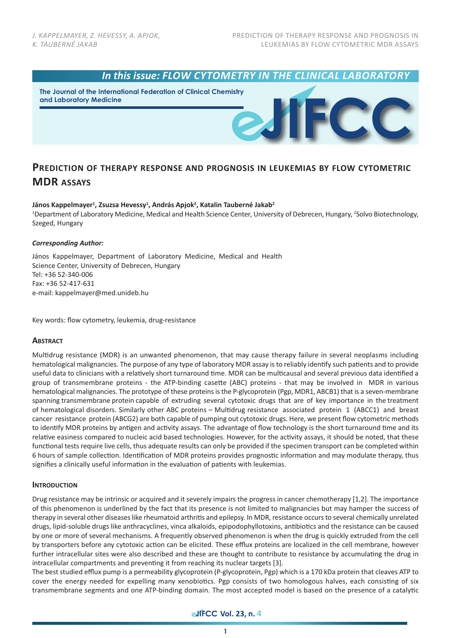

**The Journal of the International Federation of Clinical Chemistry and Laboratory Medicine**

# **PREDICTION OF THERAPY RESPONSE AND PROGNOSIS IN LEUKEMIAS BY FLOW CYTOMETRIC MDR ASSAYS**

### János Kappelmayer<sup>1</sup>, Zsuzsa Hevessy<sup>1</sup>, András Apjok<sup>2</sup>, Katalin Tauberné Jakab<sup>2</sup>

<sup>1</sup>Department of Laboratory Medicine, Medical and Health Science Center, University of Debrecen, Hungary, <sup>2</sup>Solvo Biotechnology, Szeged, Hungary

### *Corresponding Author:*

János Kappelmayer, Department of Laboratory Medicine, Medical and Health Science Center, University of Debrecen, Hungary Tel: +36 52-340-006 Fax: +36 52-417-631 e-mail: kappelmayer@med.unideb.hu

Key words: flow cytometry, leukemia, drug-resistance

### **ABSTRACT**

Multidrug resistance (MDR) is an unwanted phenomenon, that may cause therapy failure in several neoplasms including hematological malignancies. The purpose of any type of laboratory MDR assay is to reliably identify such patients and to provide useful data to clinicians with a relatively short turnaround time. MDR can be multicausal and several previous data identified a group of transmembrane proteins - the ATP-binding casette (ABC) proteins - that may be involved in MDR in various hematological malignancies. The prototype of these proteins is the P-glycoprotein (Pgp, MDR1, ABCB1) that is a seven-membrane spanning transmembrane protein capable of extruding several cytotoxic drugs that are of key importance in the treatment of hematological disorders. Similarly other ABC proteins – Multidrug resistance associated protein 1 (ABCC1) and breast cancer resistance protein (ABCG2) are both capable of pumping out cytotoxic drugs. Here, we present flow cytometric methods to identify MDR proteins by antigen and activity assays. The advantage of flow technology is the short turnaround time and its relative easiness compared to nucleic acid based technologies. However, for the activity assays, it should be noted, that these functional tests require live cells, thus adequate results can only be provided if the specimen transport can be completed within 6 hours of sample collection. Identification of MDR proteins provides prognostic information and may modulate therapy, thus signifies a clinically useful information in the evaluation of patients with leukemias.

### **INTRODUCTION**

Drug resistance may be intrinsic or acquired and it severely impairs the progress in cancer chemotherapy [1,2]. The importance of this phenomenon is underlined by the fact that its presence is not limited to malignancies but may hamper the success of therapy in several other diseases like rheumatoid arthritis and epilepsy. In MDR, resistance occurs to several chemically unrelated drugs, lipid-soluble drugs like anthracyclines, vinca alkaloids, epipodophyllotoxins, antibiotics and the resistance can be caused by one or more of several mechanisms. A frequently observed phenomenon is when the drug is quickly extruded from the cell by transporters before any cytotoxic action can be elicited. These efflux proteins are localized in the cell membrane, however further intracellular sites were also described and these are thought to contribute to resistance by accumulating the drug in intracellular compartments and preventing it from reaching its nuclear targets [3].

The best studied efflux pump is a permeability glycoprotein (P-glycoprotein, Pgp) which is a 170 kDa protein that cleaves ATP to cover the energy needed for expelling many xenobiotics. Pgp consists of two homologous halves, each consisting of six transmembrane segments and one ATP-binding domain. The most accepted model is based on the presence of a catalytic

## **eJFCC Vol. 23, n. 4**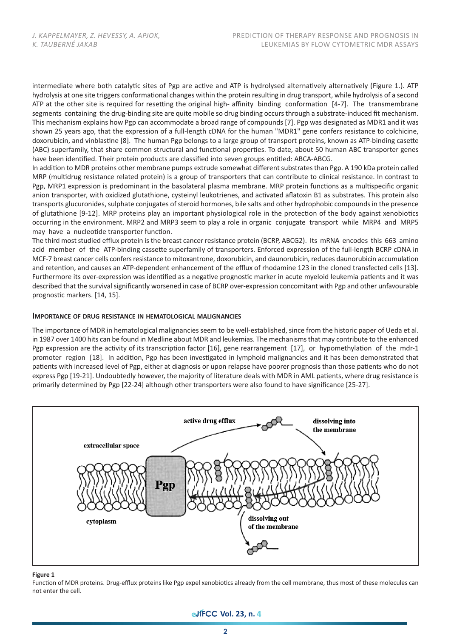intermediate where both catalytic sites of Pgp are active and ATP is hydrolysed alternatively alternatively (Figure 1.). ATP hydrolysis at one site triggers conformational changes within the protein resulting in drug transport, while hydrolysis of a second ATP at the other site is required for resetting the original high- affinity binding conformation [4-7]. The transmembrane segments containing the drug-binding site are quite mobile so drug binding occurs through a substrate-induced fit mechanism. This mechanism explains how Pgp can accommodate a broad range of compounds [7]. Pgp was designated as MDR1 and it was shown 25 years ago, that the expression of a full-length cDNA for the human "MDR1" gene confers resistance to colchicine, doxorubicin, and vinblastine [8]. The human Pgp belongs to a large group of transport proteins, known as ATP-binding casette (ABC) superfamily, that share common structural and functional properties. To date, about 50 human ABC transporter genes have been identified. Their protein products are classified into seven groups entitled: ABCA-ABCG.

In addition to MDR proteins other membrane pumps extrude somewhat different substrates than Pgp. A 190 kDa protein called MRP (multidrug resistance related protein) is a group of transporters that can contribute to clinical resistance. In contrast to Pgp, MRP1 expression is predominant in the basolateral plasma membrane. MRP protein functions as a multispecific organic anion transporter, with oxidized glutathione, cysteinyl leukotrienes, and activated aflatoxin B1 as substrates. This protein also transports glucuronides, sulphate conjugates of steroid hormones, bile salts and other hydrophobic compounds in the presence of glutathione [9-12]. MRP proteins play an important physiological role in the protection of the body against xenobiotics occurring in the environment. MRP2 and MRP3 seem to play a role in organic conjugate transport while MRP4 and MRP5 may have a nucleotide transporter function.

The third most studied efflux protein is the breast cancer resistance protein (BCRP, ABCG2). Its mRNA encodes this 663 amino acid member of the ATP-binding cassette superfamily of transporters. Enforced expression of the full-length BCRP cDNA in MCF-7 breast cancer cells confers resistance to mitoxantrone, doxorubicin, and daunorubicin, reduces daunorubicin accumulation and retention, and causes an ATP-dependent enhancement of the efflux of rhodamine 123 in the cloned transfected cells [13]. Furthermore its over-expression was identified as a negative prognostic marker in acute myeloid leukemia patients and it was described that the survival significantly worsened in case of BCRP over-expression concomitant with Pgp and other unfavourable prognostic markers. [14, 15].

#### **IMPORTANCE OF DRUG RESISTANCE IN HEMATOLOGICAL MALIGNANCIES**

The importance of MDR in hematological malignancies seem to be well-established, since from the historic paper of Ueda et al. in 1987 over 1400 hits can be found in Medline about MDR and leukemias. The mechanisms that may contribute to the enhanced Pgp expression are the activity of its transcription factor [16], gene rearrangement [17], or hypomethylation of the mdr-1 promoter region [18]. In addition, Pgp has been investigated in lymphoid malignancies and it has been demonstrated that patients with increased level of Pgp, either at diagnosis or upon relapse have poorer prognosis than those patients who do not express Pgp [19-21]. Undoubtedly however, the majority of literature deals with MDR in AML patients, where drug resistance is primarily determined by Pgp [22-24] although other transporters were also found to have significance [25-27].



#### **Figure 1**

Function of MDR proteins. Drug-efflux proteins like Pgp expel xenobiotics already from the cell membrane, thus most of these molecules can not enter the cell.

## **eJFCC** Vol. 23, n. 4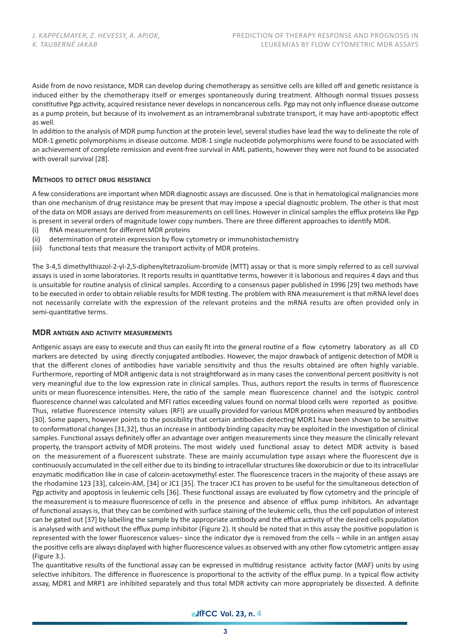Aside from de novo resistance, MDR can develop during chemotherapy as sensitive cells are killed off and genetic resistance is induced either by the chemotherapy itself or emerges spontaneously during treatment. Although normal tissues possess constitutive Pgp activity, acquired resistance never develops in noncancerous cells. Pgp may not only influence disease outcome as a pump protein, but because of its involvement as an intramembranal substrate transport, it may have anti-apoptotic effect as well.

In addition to the analysis of MDR pump function at the protein level, several studies have lead the way to delineate the role of MDR-1 genetic polymorphisms in disease outcome. MDR-1 single nucleotide polymorphisms were found to be associated with an achievement of complete remission and event-free survival in AML patients, however they were not found to be associated with overall survival [28].

### **METHODS TO DETECT DRUG RESISTANCE**

A few considerations are important when MDR diagnostic assays are discussed. One is that in hematological malignancies more than one mechanism of drug resistance may be present that may impose a special diagnostic problem. The other is that most of the data on MDR assays are derived from measurements on cell lines. However in clinical samples the efflux proteins like Pgp is present in several orders of magnitude lower copy numbers. There are three different approaches to identify MDR.

- (i) RNA measurement for different MDR proteins
- (ii) determination of protein expression by flow cytometry or immunohistochemistry
- (iii) functional tests that measure the transport activity of MDR proteins.

The 3-4,5 dimethylthiazol-2-yl-2,5-diphenyltetrazolium-bromide (MTT) assay or that is more simply referred to as cell survival assays is used in some laboratories. It reports results in quantitative terms, however it is laborious and requires 4 days and thus is unsuitable for routine analysis of clinical samples. According to a consensus paper published in 1996 [29] two methods have to be executed in order to obtain reliable results for MDR testing. The problem with RNA measurement is that mRNA level does not necessarily correlate with the expression of the relevant proteins and the mRNA results are often provided only in semi-quantitative terms.

#### **MDR ANTIGEN AND ACTIVITY MEASUREMENTS**

Antigenic assays are easy to execute and thus can easily fit into the general routine of a flow cytometry laboratory as all CD markers are detected by using directly conjugated antibodies. However, the major drawback of antigenic detection of MDR is that the different clones of antibodies have variable sensitivity and thus the results obtained are often highly variable. Furthermore, reporting of MDR antigenic data is not straightforward as in many cases the conventional percent positivity is not very meaningful due to the low expression rate in clinical samples. Thus, authors report the results in terms of fluorescence units or mean fluorescence intensities. Here, the ratio of the sample mean fluorescence channel and the isotypic control fluorescence channel was calculated and MFI ratios exceeding values found on normal blood cells were reported as positive. Thus, relative fluorescence intensity values (RFI) are usually provided for various MDR proteins when measured by antibodies [30]. Some papers, however points to the possibility that certain antibodies detecting MDR1 have been shown to be sensitive to conformational changes [31,32], thus an increase in antibody binding capacity may be exploited in the investigation of clinical samples. Functional assays definitely offer an advantage over antigen measurements since they measure the clinically relevant property, the transport activity of MDR proteins. The most widely used functional assay to detect MDR activity is based on the measurement of a fluorescent substrate. These are mainly accumulation type assays where the fluorescent dye is continuously accumulated in the cell either due to its binding to intracellular structures like doxorubicin or due to its intracellular enzymatic modification like in case of calcein-acetoxymethyl ester. The fluorescence tracers in the majority of these assays are the rhodamine 123 [33], calcein-AM, [34] or JC1 [35]. The tracer JC1 has proven to be useful for the simultaneous detection of Pgp activity and apoptosis in leukemic cells [36]. These functional assays are evaluated by flow cytometry and the principle of the measurement is to measure fluorescence of cells in the presence and absence of efflux pump inhibitors. An advantage of functional assays is, that they can be combined with surface staining of the leukemic cells, thus the cell population of interest can be gated out [37] by labelling the sample by the appropriate antibody and the efflux activity of the desired cells population is analysed with and without the efflux pump inhibitor (Figure 2). It should be noted that in this assay the positive population is represented with the lower fluorescence values– since the indicator dye is removed from the cells – while in an antigen assay the positive cells are always displayed with higher fluorescence values as observed with any other flow cytometric antigen assay (Figure 3.).

The quantitative results of the functional assay can be expressed in multidrug resistance activity factor (MAF) units by using selective inhibitors. The difference in fluorescence is proportional to the activity of the efflux pump. In a typical flow activity assay, MDR1 and MRP1 are inhibited separately and thus total MDR activity can more appropriately be dissected. A definite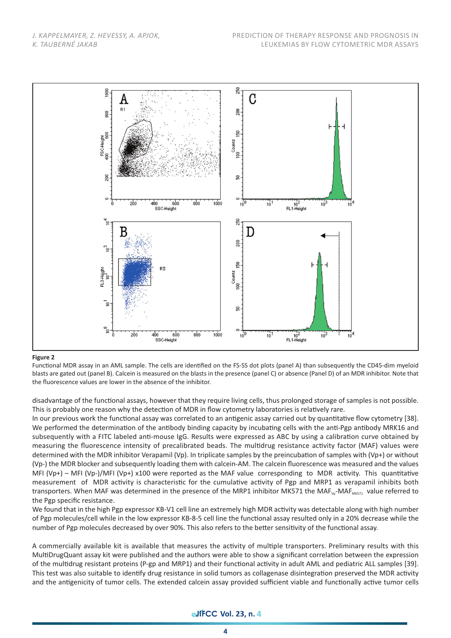

#### **Figure 2**

Functional MDR assay in an AML sample. The cells are identified on the FS-SS dot plots (panel A) than subsequently the CD45-dim myeloid blasts are gated out (panel B). Calcein is measured on the blasts in the presence (panel C) or absence (Panel D) of an MDR inhibitor. Note that the fluorescence values are lower in the absence of the inhibitor.

disadvantage of the functional assays, however that they require living cells, thus prolonged storage of samples is not possible. This is probably one reason why the detection of MDR in flow cytometry laboratories is relatively rare.

In our previous work the functional assay was correlated to an antigenic assay carried out by quantitative flow cytometry [38]. We performed the determination of the antibody binding capacity by incubating cells with the anti-Pgp antibody MRK16 and subsequently with a FITC labeled anti-mouse IgG. Results were expressed as ABC by using a calibration curve obtained by measuring the fluorescence intensity of precalibrated beads. The multidrug resistance activity factor (MAF) values were determined with the MDR inhibitor Verapamil (Vp). In triplicate samples by the preincubation of samples with (Vp+) or without (Vp-) the MDR blocker and subsequently loading them with calcein-AM. The calcein fluorescence was measured and the values MFI (Vp+) – MFI (Vp-)/MFI (Vp+) x100 were reported as the MAF value corresponding to MDR activity. This quantitative measurement of MDR activity is characteristic for the cumulative activity of Pgp and MRP1 as verapamil inhibits both transporters. When MAF was determined in the presence of the MRP1 inhibitor MK571 the MAF<sub>Vp</sub>-MAF<sub>MK571</sub> value referred to the Pgp specific resistance.

We found that in the high Pgp expressor KB-V1 cell line an extremely high MDR activity was detectable along with high number of Pgp molecules/cell while in the low expressor KB-8-5 cell line the functional assay resulted only in a 20% decrease while the number of Pgp molecules decreased by over 90%. This also refers to the better sensitivity of the functional assay.

A commercially available kit is available that measures the activity of multiple transporters. Preliminary results with this MultiDrugQuant assay kit were published and the authors were able to show a significant correlation between the expression of the multidrug resistant proteins (P-gp and MRP1) and their functional activity in adult AML and pediatric ALL samples [39]. This test was also suitable to identify drug resistance in solid tumors as collagenase disintegration preserved the MDR activity and the antigenicity of tumor cells. The extended calcein assay provided sufficient viable and functionally active tumor cells

## **edfFCC** Vol. 23, n. 4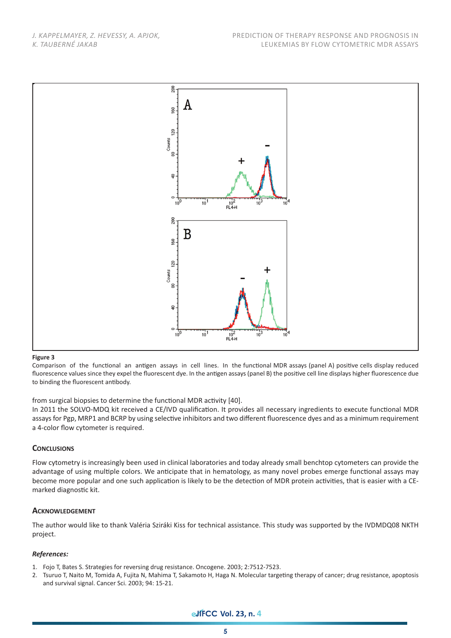*J. KAPPELMAYER, Z. HEVESSY, A. APJOK, K. TAUBERNÉ JAKAB*



#### **Figure 3**

Comparison of the functional an antigen assays in cell lines. In the functional MDR assays (panel A) positive cells display reduced fluorescence values since they expel the fluorescent dye. In the antigen assays (panel B) the positive cell line displays higher fluorescence due to binding the fluorescent antibody.

from surgical biopsies to determine the functional MDR activity [40].

In 2011 the SOLVO-MDQ kit received a CE/IVD qualification. It provides all necessary ingredients to execute functional MDR assays for Pgp, MRP1 and BCRP by using selective inhibitors and two different fluorescence dyes and as a minimum requirement a 4-color flow cytometer is required.

### **CONCLUSIONS**

Flow cytometry is increasingly been used in clinical laboratories and today already small benchtop cytometers can provide the advantage of using multiple colors. We anticipate that in hematology, as many novel probes emerge functional assays may become more popular and one such application is likely to be the detection of MDR protein activities, that is easier with a CEmarked diagnostic kit.

### **ACKNOWLEDGEMENT**

The author would like to thank Valéria Sziráki Kiss for technical assistance. This study was supported by the IVDMDQ08 NKTH project.

### *References:*

- 1. Fojo T, Bates S. Strategies for reversing drug resistance. Oncogene. 2003; 2:7512-7523.
- 2. Tsuruo T, Naito M, Tomida A, Fujita N, Mahima T, Sakamoto H, Haga N. Molecular targeting therapy of cancer; drug resistance, apoptosis and survival signal. Cancer Sci. 2003; 94: 15-21.

**eJFCC Vol. 23, n. 4**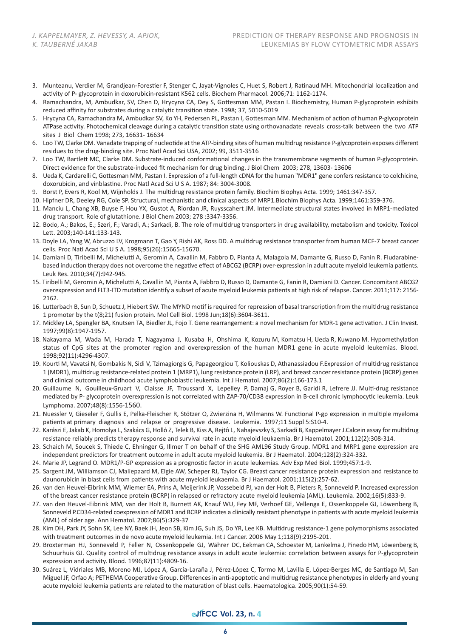- 3. Munteanu, Verdier M, Grandjean-Forestier F, Stenger C, Jayat-Vignoles C, Huet S, Robert J, Ratinaud MH. Mitochondrial localization and activity of P- glycoprotein in doxorubicin-resistant K562 cells. Biochem Pharmacol. 2006;71: 1162-1174.
- 4. Ramachandra, M, Ambudkar, SV, Chen D, Hrycyna CA, Dey S, Gottesman MM, Pastan I. Biochemistry, Human P-glycoprotein exhibits reduced affinity for substrates during a catalytic transition state. 1998; 37, 5010-5019
- 5. Hrycyna CA, Ramachandra M, Ambudkar SV, Ko YH, Pedersen PL, Pastan I, Gottesman MM. Mechanism of action of human P-glycoprotein ATPase activity. Photochemical cleavage during a catalytic transition state using orthovanadate reveals cross-talk between the two ATP sites J Biol Chem 1998; 273, 16631- 16634
- 6. Loo TW, Clarke DM. Vanadate trapping of nucleotide at the ATP-binding sites of human multidrug resistance P-glycoprotein exposes different residues to the drug-binding site. Proc Natl Acad Sci USA, 2002; 99, 3511-3516
- 7. Loo TW, Bartlett MC, Clarke DM. Substrate-induced conformational changes in the transmembrane segments of human P-glycoprotein. Direct evidence for the substrate-induced fit mechanism for drug binding. J Biol Chem 2003; 278, 13603- 13606
- 8. Ueda K, Cardarelli C, Gottesman MM, Pastan I. Expression of a full-length cDNA for the human "MDR1" gene confers resistance to colchicine, doxorubicin, and vinblastine. Proc Natl Acad Sci U S A. 1987; 84: 3004-3008.
- 9. Borst P, Evers R, Kool M, Wijnholds J. The multidrug resistance protein family. Biochim Biophys Acta. 1999; 1461:347-357.
- 10. Hipfner DR, Deeley RG, Cole SP. Structural, mechanistic and clinical aspects of MRP1.Biochim Biophys Acta. 1999;1461:359-376.
- 11. Manciu L, Chang XB, Buyse F, Hou YX, Gustot A, Riordan JR, Ruysscahert JM. Intermediate structural states involved in MRP1-mediated drug transport. Role of glutathione. J Biol Chem 2003; 278 :3347-3356.
- 12. Bodo, A.; Bakos, E.; Szeri, F.; Varadi, A.; Sarkadi, B. The role of multidrug transporters in drug availability, metabolism and toxicity. Toxicol Lett. 2003;140-141:133-143.
- 13. Doyle LA, Yang W, Abruzzo LV, Krogmann T, Gao Y, Rishi AK, Ross DD. A multidrug resistance transporter from human MCF-7 breast cancer cells. Proc Natl Acad Sci U S A. 1998;95(26):15665-15670.
- 14. Damiani D, Tiribelli M, Michelutti A, Geromin A, Cavallin M, Fabbro D, Pianta A, Malagola M, Damante G, Russo D, Fanin R. Fludarabinebased induction therapy does not overcome the negative effect of ABCG2 (BCRP) over-expression in adult acute myeloid leukemia patients. Leuk Res. 2010;34(7):942-945.
- 15. Tiribelli M, Geromin A, Michelutti A, Cavallin M, Pianta A, Fabbro D, Russo D, Damante G, Fanin R, Damiani D. Cancer. Concomitant ABCG2 overexpression and FLT3-ITD mutation identify a subset of acute myeloid leukemia patients at high risk of relapse. Cancer. 2011;117: 2156- 2162.
- 16. Lutterbach B, Sun D, Schuetz J, Hiebert SW. The MYND motif is required for repression of basal transcription from the multidrug resistance 1 promoter by the t(8;21) fusion protein. Mol Cell Biol. 1998 Jun;18(6):3604-3611.
- 17. Mickley LA, Spengler BA, Knutsen TA, Biedler JL, Fojo T. Gene rearrangement: a novel mechanism for MDR-1 gene activation. J Clin Invest. 1997;99(8):1947-1957.
- 18. Nakayama M, Wada M, Harada T, Nagayama J, Kusaba H, Ohshima K, Kozuru M, Komatsu H, Ueda R, Kuwano M. Hypomethylation status of CpG sites at the promoter region and overexpression of the human MDR1 gene in acute myeloid leukemias. Blood. 1998;92(11):4296-4307.
- 19. Kourti M, Vavatsi N, Gombakis N, Sidi V, Tzimagiorgis G, Papageorgiou T, Koliouskas D, Athanassiadou F.Expression of multidrug resistance 1 (MDR1), multidrug resistance-related protein 1 (MRP1), lung resistance protein (LRP), and breast cancer resistance protein (BCRP) genes and clinical outcome in childhood acute lymphoblastic leukemia. Int J Hematol. 2007;86(2):166-173.1
- 20. Guillaume N, Gouilleux-Gruart V, Claisse JF, Troussard X, Lepelley P, Damaj G, Royer B, Garidi R, Lefrere JJ. Multi-drug resistance mediated by P- glycoprotein overexpression is not correlated with ZAP-70/CD38 expression in B-cell chronic lymphocytic leukemia. Leuk Lymphoma. 2007;48(8):1556-1560.
- 21. Nuessler V, Gieseler F, Gullis E, Pelka-Fleischer R, Stötzer O, Zwierzina H, Wilmanns W. Functional P-gp expression in multiple myeloma patients at primary diagnosis and relapse or progressive disease. Leukemia. 1997;11 Suppl 5:S10-4.
- 22. Karászi E, Jakab K, Homolya L, Szakács G, Holló Z, Telek B, Kiss A, Rejtô L, Nahajevszky S, Sarkadi B, Kappelmayer J.Calcein assay for multidrug resistance reliably predicts therapy response and survival rate in acute myeloid leukaemia. Br J Haematol. 2001;112(2):308-314.
- 23. Schaich M, Soucek S, Thiede C, Ehninger G, Illmer T on behalf of the SHG AML96 Study Group. MDR1 and MRP1 gene expression are independent predictors for treatment outcome in adult acute myeloid leukemia. Br J Haematol. 2004;128(2):324-332.
- 24. Marie JP, Legrand O. MDR1/P-GP expression as a prognostic factor in acute leukemias. Adv Exp Med Biol. 1999;457:1-9.
- 25. Sargent JM, Williamson CJ, Maliepaard M, Elgie AW, Scheper RJ, Taylor CG. Breast cancer resistance protein expression and resistance to daunorubicin in blast cells from patients with acute myeloid leukaemia. Br J Haematol. 2001;115(2):257-62.
- 26. van den Heuvel-Eibrink MM, Wiemer EA, Prins A, Meijerink JP, Vossebeld PJ, van der Holt B, Pieters R, Sonneveld P. Increased expression of the breast cancer resistance protein (BCRP) in relapsed or refractory acute myeloid leukemia (AML). Leukemia. 2002;16(5):833-9.
- 27. van den Heuvel-Eibrink MM, van der Holt B, Burnett AK, Knauf WU, Fey MF, Verhoef GE, Vellenga E, Ossenkoppele GJ, Löwenberg B, Sonneveld P.CD34-related coexpression of MDR1 and BCRP indicates a clinically resistant phenotype in patients with acute myeloid leukemia (AML) of older age. Ann Hematol. 2007;86(5):329-37
- 28. Kim DH, Park JY, Sohn SK, Lee NY, Baek JH, Jeon SB, Kim JG, Suh JS, Do YR, Lee KB. Multidrug resistance-1 gene polymorphisms associated with treatment outcomes in de novo acute myeloid leukemia. Int J Cancer. 2006 May 1;118(9):2195-201.
- 29. Broxterman HJ, Sonneveld P, Feller N, Ossenkoppele GJ, Währer DC, Eekman CA, Schoester M, Lankelma J, Pinedo HM, Löwenberg B, Schuurhuis GJ. Quality control of multidrug resistance assays in adult acute leukemia: correlation between assays for P-glycoprotein expression and activity. Blood. 1996;87(11):4809-16.
- 30. Suárez L, Vidriales MB, Moreno MJ, López A, García-Laraña J, Pérez-López C, Tormo M, Lavilla E, López-Berges MC, de Santiago M, San Miguel JF, Orfao A; PETHEMA Cooperative Group. Differences in anti-apoptotic and multidrug resistance phenotypes in elderly and young acute myeloid leukemia patients are related to the maturation of blast cells. Haematologica. 2005;90(1):54-59.

## **edfFCC** Vol. 23, n. 4